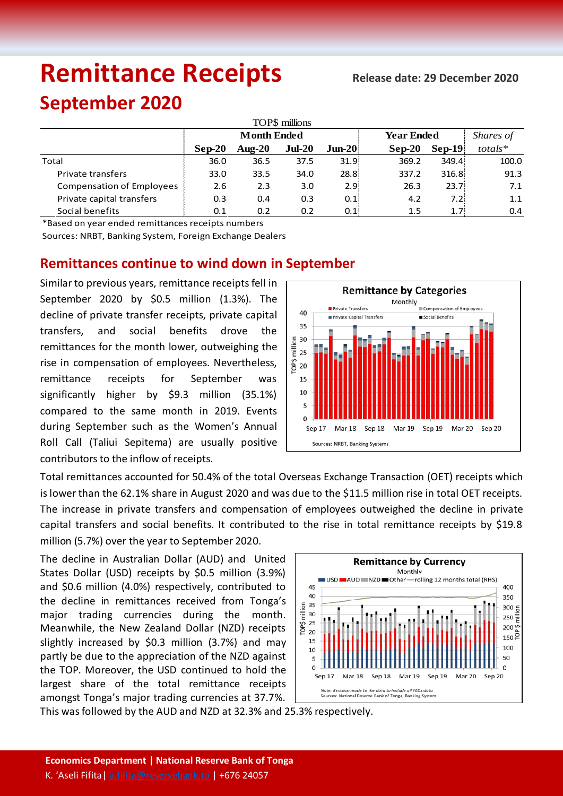# **Remittance Receipts** Release date: 29 December 2020

## **September 2020**

| TOP\$ millions                   |                    |           |          |           |                   |          |           |  |  |  |  |  |
|----------------------------------|--------------------|-----------|----------|-----------|-------------------|----------|-----------|--|--|--|--|--|
|                                  | <b>Month Ended</b> |           |          |           | <b>Year Ended</b> |          | Shares of |  |  |  |  |  |
|                                  | Sep-20             | Aug- $20$ | $Jul-20$ | $J$ un-20 | $Sep-20$          | $Sep-19$ | $totals*$ |  |  |  |  |  |
| Total                            | 36.0               | 36.5      | 37.5     | 31.9      | 369.2             | 349.4    | 100.0     |  |  |  |  |  |
| Private transfers                | 33.0               | 33.5      | 34.0     | 28.8      | 337.2             | 316.8    | 91.3      |  |  |  |  |  |
| <b>Compensation of Employees</b> | 2.6                | 2.3       | 3.0      | 2.91      | 26.3              | 23.7     | 7.1       |  |  |  |  |  |
| Private capital transfers        | 0.3                | 0.4       | 0.3      | 0.1       | 4.2               | 7.2      | 1.1       |  |  |  |  |  |
| Social benefits                  | 0.1                | 0.2       | 0.2      | 0.1       | 1.5               | 1.7      | 0.4       |  |  |  |  |  |

\*Based on year ended remittances receipts numbers

Sources: NRBT, Banking System, Foreign Exchange Dealers

### **Remittances continue to wind down in September**

Similar to previous years, remittance receipts fell in September 2020 by \$0.5 million (1.3%). The decline of private transfer receipts, private capital transfers, and social benefits drove the remittances for the month lower, outweighing the rise in compensation of employees. Nevertheless, remittance receipts for September was significantly higher by \$9.3 million (35.1%) compared to the same month in 2019. Events during September such as the Women's Annual Roll Call (Taliui Sepitema) are usually positive contributors to the inflow of receipts.



Total remittances accounted for 50.4% of the total Overseas Exchange Transaction (OET) receipts which is lower than the 62.1% share in August 2020 and was due to the \$11.5 million rise in total OET receipts. The increase in private transfers and compensation of employees outweighed the decline in private capital transfers and social benefits. It contributed to the rise in total remittance receipts by \$19.8 million (5.7%) over the year to September 2020.

The decline in Australian Dollar (AUD) and United States Dollar (USD) receipts by \$0.5 million (3.9%) and \$0.6 million (4.0%) respectively, contributed to the decline in remittances received from Tonga's major trading currencies during the month. Meanwhile, the New Zealand Dollar (NZD) receipts slightly increased by \$0.3 million (3.7%) and may partly be due to the appreciation of the NZD against the TOP. Moreover, the USD continued to hold the largest share of the total remittance receipts amongst Tonga's major trading currencies at 37.7%.



This was followed by the AUD and NZD at 32.3% and 25.3% respectively.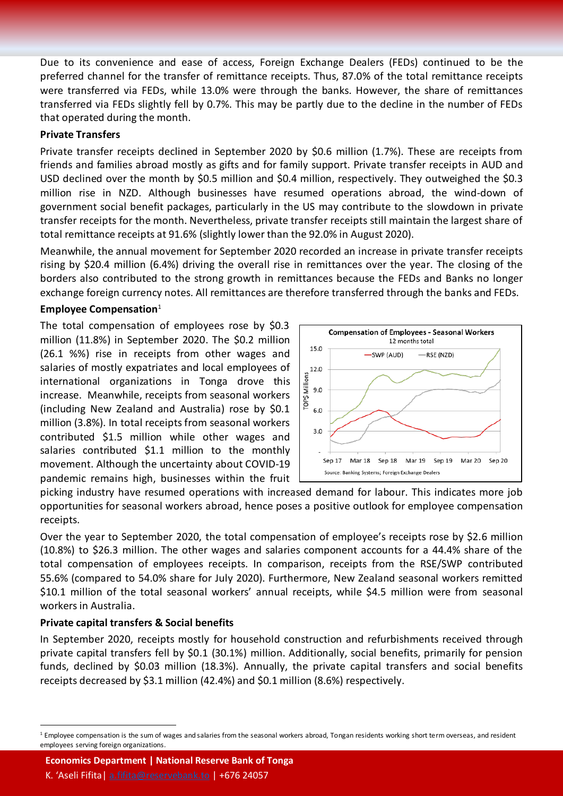Due to its convenience and ease of access, Foreign Exchange Dealers (FEDs) continued to be the preferred channel for the transfer of remittance receipts. Thus, 87.0% of the total remittance receipts were transferred via FEDs, while 13.0% were through the banks. However, the share of remittances transferred via FEDs slightly fell by 0.7%. This may be partly due to the decline in the number of FEDs that operated during the month.

#### **Private Transfers**

Private transfer receipts declined in September 2020 by \$0.6 million (1.7%). These are receipts from friends and families abroad mostly as gifts and for family support. Private transfer receipts in AUD and USD declined over the month by \$0.5 million and \$0.4 million, respectively. They outweighed the \$0.3 million rise in NZD. Although businesses have resumed operations abroad, the wind-down of government social benefit packages, particularly in the US may contribute to the slowdown in private transfer receipts for the month. Nevertheless, private transfer receipts still maintain the largest share of total remittance receipts at 91.6% (slightly lower than the 92.0% in August 2020).

Meanwhile, the annual movement for September 2020 recorded an increase in private transfer receipts rising by \$20.4 million (6.4%) driving the overall rise in remittances over the year. The closing of the borders also contributed to the strong growth in remittances because the FEDs and Banks no longer exchange foreign currency notes. All remittances are therefore transferred through the banks and FEDs.

#### **Employee Compensation**[1](#page-1-0)

The total compensation of employees rose by \$0.3 million (11.8%) in September 2020. The \$0.2 million (26.1 %%) rise in receipts from other wages and salaries of mostly expatriates and local employees of international organizations in Tonga drove this increase. Meanwhile, receipts from seasonal workers (including New Zealand and Australia) rose by \$0.1 million (3.8%). In total receipts from seasonal workers contributed \$1.5 million while other wages and salaries contributed \$1.1 million to the monthly movement. Although the uncertainty about COVID-19 pandemic remains high, businesses within the fruit



picking industry have resumed operations with increased demand for labour. This indicates more job opportunities for seasonal workers abroad, hence poses a positive outlook for employee compensation receipts.

Over the year to September 2020, the total compensation of employee's receipts rose by \$2.6 million (10.8%) to \$26.3 million. The other wages and salaries component accounts for a 44.4% share of the total compensation of employees receipts. In comparison, receipts from the RSE/SWP contributed 55.6% (compared to 54.0% share for July 2020). Furthermore, New Zealand seasonal workers remitted \$10.1 million of the total seasonal workers' annual receipts, while \$4.5 million were from seasonal workersin Australia.

#### **Private capital transfers & Social benefits**

In September 2020, receipts mostly for household construction and refurbishments received through private capital transfers fell by \$0.1 (30.1%) million. Additionally, social benefits, primarily for pension funds, declined by \$0.03 million (18.3%). Annually, the private capital transfers and social benefits receipts decreased by \$3.1 million (42.4%) and \$0.1 million (8.6%) respectively.

**Economics Department | National Reserve Bank of Tonga**

K. 'Aseli Fifita [| a.fifita@reservebank.to](mailto:a.fifita@reservebank.to) | +676 24057

<span id="page-1-0"></span><sup>&</sup>lt;sup>1</sup> Employee compensation is the sum of wages and salaries from the seasonal workers abroad, Tongan residents working short term overseas, and resident employees serving foreign organizations.